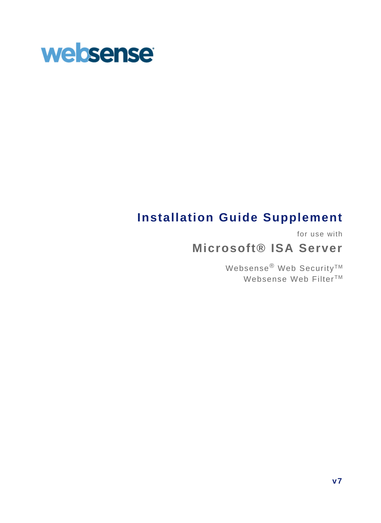

# **Installation Guide Supplement**

for use with

# **Microsoft® ISA Server**

Websense® Web Security™ Websense Web Filter<sup>™</sup>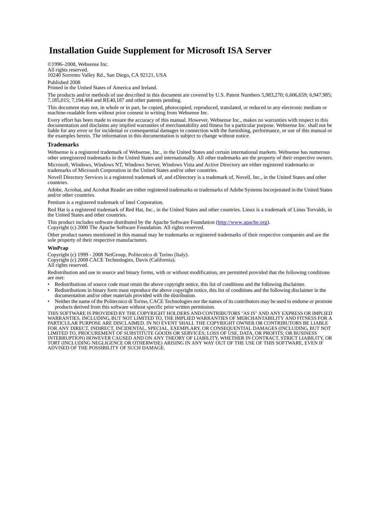## **Installation Guide Supplement for Microsoft ISA Server**

©1996–2008, Websense Inc. All rights reserved.

10240 Sorrento Valley Rd., San Diego, CA 92121, USA Published 2008

Printed in the United States of America and Ireland.

The products and/or methods of use described in this document are covered by U.S. Patent Numbers 5,983,270; 6,606,659; 6,947,985; 7,185,015; 7,194,464 and RE40,187 and other patents pending.

This document may not, in whole or in part, be copied, photocopied, reproduced, translated, or reduced to any electronic medium or machine-readable form without prior consent in writing from Websense Inc.

Every effort has been made to ensure the accuracy of this manual. However, Websense Inc., makes no warranties with respect to this documentation and disclaims any implied warranties of merchantability and fitness for a particular purpose. Websense Inc. shall not be liable for any error or for incidental or consequential damages in connection with the furnishing, performance, or use of this manual or the examples herein. The information in this documentation is subject to change without notice.

#### **Trademarks**

Websense is a registered trademark of Websense, Inc., in the United States and certain international markets. Websense has numerous other unregistered trademarks in the United States and internationally. All other trademarks are the property of their respective owners. Microsoft, Windows, Windows NT, Windows Server, Windows Vista and Active Directory are either registered trademarks or

trademarks of Microsoft Corporation in the United States and/or other countries.

Novell Directory Services is a registered trademark of, and eDirectory is a trademark of, Novell, Inc., in the United States and other countries.

Adobe, Acrobat, and Acrobat Reader are either registered trademarks or trademarks of Adobe Systems Incorporated in the United States and/or other countries.

Pentium is a registered trademark of Intel Corporation.

Red Hat is a registered trademark of Red Hat, Inc., in the United States and other countries. Linux is a trademark of Linus Torvalds, in the United States and other countries.

This product includes software distributed by the Apache Software Foundation [\(http://www.apache.org](http://www.apache.org)). Copyright (c) 2000 The Apache Software Foundation. All rights reserved.

Other product names mentioned in this manual may be trademarks or registered trademarks of their respective companies and are the sole property of their respective manufacturers.

#### **WinPcap**

Copyright (c) 1999 - 2008 NetGroup, Politecnico di Torino (Italy). Copyright (c) 2008 CACE Technologies, Davis (California). All rights reserved.

Redistribution and use in source and binary forms, with or without modification, are permitted provided that the following conditions are met:

- Redistributions of source code must retain the above copyright notice, this list of conditions and the following disclaimer.
- Redistributions in binary form must reproduce the above copyright notice, this list of conditions and the following disclaimer in the documentation and/or other materials provided with the distribution.
- Neither the name of the Politecnico di Torino, CACE Technologies nor the names of its contributors may be used to endorse or promote products derived from this software without specific prior written permission.

THIS SOFTWARE IS PROVIDED BY THE COPYRIGHT HOLDERS AND CONTRIBUTORS "AS IS" AND ANY EXPRESS OR IMPLIED WARRANTIES, INCLUDING, BUT NOT LIMITED TO, THE IMPLIED WARRANTIES OF MERCHANTABILITY AND FITNESS FOR A PARTICULAR PURPOSE ARE DISCLAIMED. IN NO EVENT SHALL THE COPYRIGHT OWNER OR CONTRIBUTORS BE LIABLE FOR ANY DIRECT, INDIRECT, INCIDENTAL, SPECIAL, EXEMPLARY, OR CONSEQUENTIAL DAMAGES (INCLUDING, BUT NOT<br>LIMITED TO, PROCUREMENT OF SUBSTITUTE GOODS OR SERVICES; LOSS OF USE, DATA, OR PROFITS; OR BUSINESS INTERRUPTION) HOWEVER CAUSED AND ON ANY THEORY OF LIABILITY, WHETHER IN CONTRACT, STRICT LIABILITY, OR TORT (INCLUDING NEGLIGENCE OR OTHERWISE) ARISING IN ANY WAY OUT OF THE USE OF THIS SOFTWARE, EVEN IF ADVISED OF THE POSSIBILITY OF SUCH DAMAGE.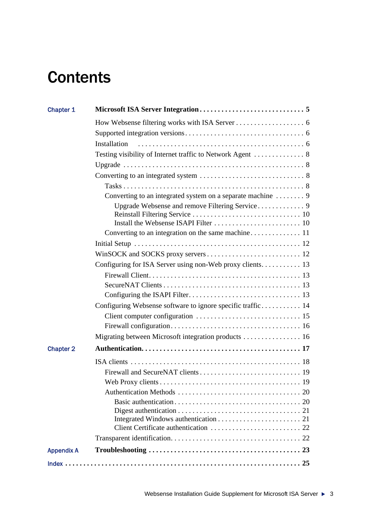# **Contents**

| Chapter 1         |                                                             |  |
|-------------------|-------------------------------------------------------------|--|
|                   |                                                             |  |
|                   |                                                             |  |
|                   | Installation                                                |  |
|                   |                                                             |  |
|                   |                                                             |  |
|                   |                                                             |  |
|                   |                                                             |  |
|                   |                                                             |  |
|                   |                                                             |  |
|                   |                                                             |  |
|                   |                                                             |  |
|                   | Converting to an integration on the same machine 11         |  |
|                   |                                                             |  |
|                   |                                                             |  |
|                   | Configuring for ISA Server using non-Web proxy clients 13   |  |
|                   |                                                             |  |
|                   |                                                             |  |
|                   |                                                             |  |
|                   | Configuring Websense software to ignore specific traffic 14 |  |
|                   |                                                             |  |
|                   |                                                             |  |
|                   | Migrating between Microsoft integration products 16         |  |
| <b>Chapter 2</b>  |                                                             |  |
|                   |                                                             |  |
|                   |                                                             |  |
|                   |                                                             |  |
|                   |                                                             |  |
|                   |                                                             |  |
|                   |                                                             |  |
|                   |                                                             |  |
|                   |                                                             |  |
|                   |                                                             |  |
| <b>Appendix A</b> |                                                             |  |
|                   |                                                             |  |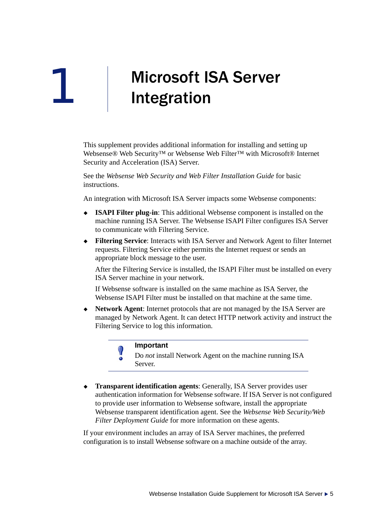# <span id="page-4-0"></span>Microsoft ISA Server Integration

This supplement provides additional information for installing and setting up Websense® Web Security<sup>™</sup> or Websense Web Filter™ with Microsoft® Internet Security and Acceleration (ISA) Server.

See the *Websense Web Security and Web Filter Installation Guide* for basic instructions.

An integration with Microsoft ISA Server impacts some Websense components:

- **ISAPI Filter plug-in**: This additional Websense component is installed on the machine running ISA Server. The Websense ISAPI Filter configures ISA Server to communicate with Filtering Service.
- **Filtering Service**: Interacts with ISA Server and Network Agent to filter Internet requests. Filtering Service either permits the Internet request or sends an appropriate block message to the user.

After the Filtering Service is installed, the ISAPI Filter must be installed on every ISA Server machine in your network.

If Websense software is installed on the same machine as ISA Server, the Websense ISAPI Filter must be installed on that machine at the same time.

 **Network Agent**: Internet protocols that are not managed by the ISA Server are managed by Network Agent. It can detect HTTP network activity and instruct the Filtering Service to log this information.



1

<span id="page-4-1"></span>Do *not* install Network Agent on the machine running ISA Server.

 **Transparent identification agents**: Generally, ISA Server provides user authentication information for Websense software. If ISA Server is not configured to provide user information to Websense software, install the appropriate Websense transparent identification agent. See the *Websense Web Security/Web Filter Deployment Guide* for more information on these agents.

If your environment includes an array of ISA Server machines, the preferred configuration is to install Websense software on a machine outside of the array.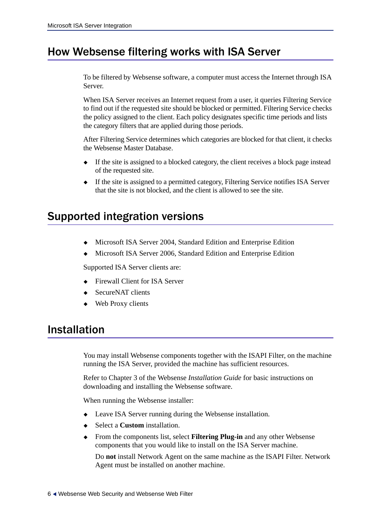# <span id="page-5-0"></span>How Websense filtering works with ISA Server

To be filtered by Websense software, a computer must access the Internet through ISA Server.

When ISA Server receives an Internet request from a user, it queries Filtering Service to find out if the requested site should be blocked or permitted. Filtering Service checks the policy assigned to the client. Each policy designates specific time periods and lists the category filters that are applied during those periods.

After Filtering Service determines which categories are blocked for that client, it checks the Websense Master Database.

- If the site is assigned to a blocked category, the client receives a block page instead of the requested site.
- <span id="page-5-5"></span> If the site is assigned to a permitted category, Filtering Service notifies ISA Server that the site is not blocked, and the client is allowed to see the site.

# <span id="page-5-1"></span>Supported integration versions

- Microsoft ISA Server 2004, Standard Edition and Enterprise Edition
- <span id="page-5-3"></span>Microsoft ISA Server 2006, Standard Edition and Enterprise Edition

Supported ISA Server clients are:

- Firewall Client for ISA Server
- SecureNAT clients
- <span id="page-5-6"></span><span id="page-5-4"></span>Web Proxy clients

# <span id="page-5-2"></span>Installation

You may install Websense components together with the ISAPI Filter, on the machine running the ISA Server, provided the machine has sufficient resources.

Refer to Chapter 3 of the Websense *Installation Guide* for basic instructions on downloading and installing the Websense software.

When running the Websense installer:

- Leave ISA Server running during the Websense installation.
- Select a **Custom** installation.
- From the components list, select **Filtering Plug-in** and any other Websense components that you would like to install on the ISA Server machine.

Do **not** install Network Agent on the same machine as the ISAPI Filter. Network Agent must be installed on another machine.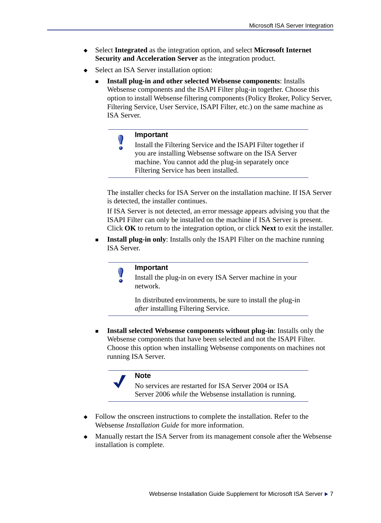- Select **Integrated** as the integration option, and select **Microsoft Internet Security and Acceleration Server** as the integration product.
- Select an ISA Server installation option:
	- **Install plug-in and other selected Websense components**: Installs Websense components and the ISAPI Filter plug-in together. Choose this option to install Websense filtering components (Policy Broker, Policy Server, Filtering Service, User Service, ISAPI Filter, etc.) on the same machine as ISA Server.

#### **Important**  $\mathsf{V}$

Install the Filtering Service and the ISAPI Filter together if you are installing Websense software on the ISA Server machine. You cannot add the plug-in separately once Filtering Service has been installed.

The installer checks for ISA Server on the installation machine. If ISA Server is detected, the installer continues.

If ISA Server is not detected, an error message appears advising you that the ISAPI Filter can only be installed on the machine if ISA Server is present. Click **OK** to return to the integration option, or click **Next** to exit the installer.

**Install plug-in only:** Installs only the ISAPI Filter on the machine running ISA Server.



### **Important**

Install the plug-in on every ISA Server machine in your network.

In distributed environments, be sure to install the plug-in *after* installing Filtering Service.

<span id="page-6-0"></span>**Install selected Websense components without plug-in:** Installs only the Websense components that have been selected and not the ISAPI Filter. Choose this option when installing Websense components on machines not running ISA Server.

### **Note**

<span id="page-6-1"></span>No services are restarted for ISA Server 2004 or ISA Server 2006 *while* the Websense installation is running.

- Follow the onscreen instructions to complete the installation. Refer to the Websense *Installation Guide* for more information.
- Manually restart the ISA Server from its management console after the Websense installation is complete.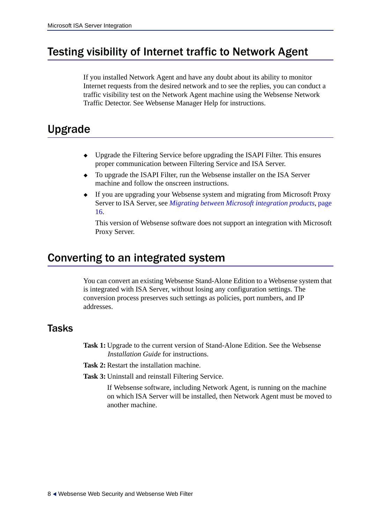# <span id="page-7-0"></span>Testing visibility of Internet traffic to Network Agent

<span id="page-7-5"></span>If you installed Network Agent and have any doubt about its ability to monitor Internet requests from the desired network and to see the replies, you can conduct a traffic visibility test on the Network Agent machine using the Websense Network Traffic Detector. See Websense Manager Help for instructions.

# <span id="page-7-1"></span>Upgrade

- Upgrade the Filtering Service before upgrading the ISAPI Filter. This ensures proper communication between Filtering Service and ISA Server.
- To upgrade the ISAPI Filter, run the Websense installer on the ISA Server machine and follow the onscreen instructions.
- <span id="page-7-4"></span> If you are upgrading your Websense system and migrating from Microsoft Proxy Server to ISA Server, see *[Migrating between Microsoft integration products](#page-15-1)*, page [16.](#page-15-1)

This version of Websense software does not support an integration with Microsoft Proxy Server.

# <span id="page-7-2"></span>Converting to an integrated system

<span id="page-7-6"></span>You can convert an existing Websense Stand-Alone Edition to a Websense system that is integrated with ISA Server, without losing any configuration settings. The conversion process preserves such settings as policies, port numbers, and IP addresses.

## <span id="page-7-7"></span><span id="page-7-3"></span>Tasks

- **Task 1:** Upgrade to the current version of Stand-Alone Edition. See the Websense *Installation Guide* for instructions.
- **Task 2:** Restart the installation machine.
- **Task 3:** Uninstall and reinstall Filtering Service.

If Websense software, including Network Agent, is running on the machine on which ISA Server will be installed, then Network Agent must be moved to another machine.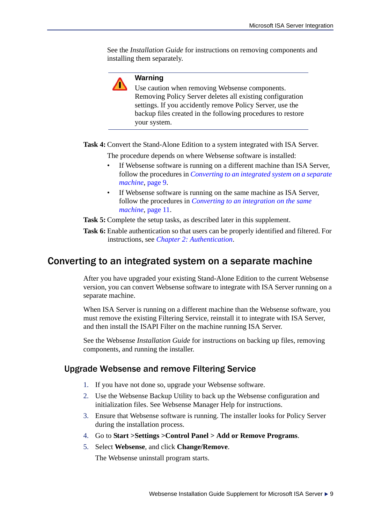See the *Installation Guide* for instructions on removing components and installing them separately.



### **Warning**

Use caution when removing Websense components. Removing Policy Server deletes all existing configuration settings. If you accidently remove Policy Server, use the backup files created in the following procedures to restore your system.

**Task 4:** Convert the Stand-Alone Edition to a system integrated with ISA Server.

The procedure depends on where Websense software is installed:

- If Websense software is running on a different machine than ISA Server, follow the procedures in *[Converting to an integrated system on a separate](#page-8-0)  [machine](#page-8-0)*, page 9.
- <span id="page-8-2"></span>• If Websense software is running on the same machine as ISA Server, follow the procedures in *[Converting to an integration on the same](#page-10-0)  machine*[, page 11.](#page-10-0)

**Task 5:** Complete the setup tasks, as described later in this supplement.

**Task 6:** Enable authentication so that users can be properly identified and filtered. For instructions, see *[Chapter 2: Authentication](#page-16-1)*.

## <span id="page-8-0"></span>Converting to an integrated system on a separate machine

After you have upgraded your existing Stand-Alone Edition to the current Websense version, you can convert Websense software to integrate with ISA Server running on a separate machine.

When ISA Server is running on a different machine than the Websense software, you must remove the existing Filtering Service, reinstall it to integrate with ISA Server, and then install the ISAPI Filter on the machine running ISA Server.

See the Websense *Installation Guide* for instructions on backing up files, removing components, and running the installer.

## <span id="page-8-1"></span>Upgrade Websense and remove Filtering Service

- 1. If you have not done so, upgrade your Websense software.
- 2. Use the Websense Backup Utility to back up the Websense configuration and initialization files. See Websense Manager Help for instructions.
- 3. Ensure that Websense software is running. The installer looks for Policy Server during the installation process.
- 4. Go to **Start >Settings >Control Panel > Add or Remove Programs**.
- 5. Select **Websense**, and click **Change/Remove**.

The Websense uninstall program starts.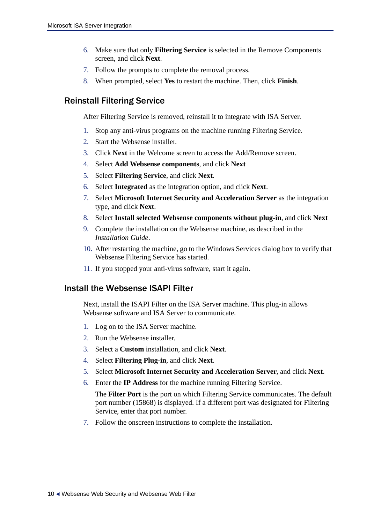- 6. Make sure that only **Filtering Service** is selected in the Remove Components screen, and click **Next**.
- 7. Follow the prompts to complete the removal process.
- 8. When prompted, select **Yes** to restart the machine. Then, click **Finish**.

## <span id="page-9-0"></span>Reinstall Filtering Service

After Filtering Service is removed, reinstall it to integrate with ISA Server.

- 1. Stop any anti-virus programs on the machine running Filtering Service.
- 2. Start the Websense installer.
- 3. Click **Next** in the Welcome screen to access the Add/Remove screen.
- 4. Select **Add Websense components**, and click **Next**
- 5. Select **Filtering Service**, and click **Next**.
- 6. Select **Integrated** as the integration option, and click **Next**.
- 7. Select **Microsoft Internet Security and Acceleration Server** as the integration type, and click **Next**.
- 8. Select **Install selected Websense components without plug-in**, and click **Next**
- 9. Complete the installation on the Websense machine, as described in the *Installation Guide*.
- 10. After restarting the machine, go to the Windows Services dialog box to verify that Websense Filtering Service has started.
- 11. If you stopped your anti-virus software, start it again.

### <span id="page-9-1"></span>Install the Websense ISAPI Filter

Next, install the ISAPI Filter on the ISA Server machine. This plug-in allows Websense software and ISA Server to communicate.

- 1. Log on to the ISA Server machine.
- 2. Run the Websense installer.
- 3. Select a **Custom** installation, and click **Next**.
- 4. Select **Filtering Plug-in**, and click **Next**.
- 5. Select **Microsoft Internet Security and Acceleration Server**, and click **Next**.
- 6. Enter the **IP Address** for the machine running Filtering Service.

The **Filter Port** is the port on which Filtering Service communicates. The default port number (15868) is displayed. If a different port was designated for Filtering Service, enter that port number.

7. Follow the onscreen instructions to complete the installation.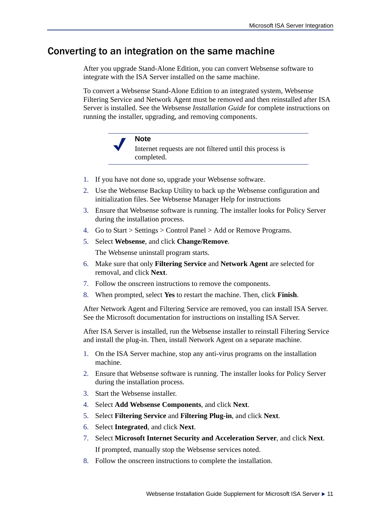## <span id="page-10-0"></span>Converting to an integration on the same machine

<span id="page-10-1"></span>After you upgrade Stand-Alone Edition, you can convert Websense software to integrate with the ISA Server installed on the same machine.

To convert a Websense Stand-Alone Edition to an integrated system, Websense Filtering Service and Network Agent must be removed and then reinstalled after ISA Server is installed. See the Websense *Installation Guide* for complete instructions on running the installer, upgrading, and removing components.



- 1. If you have not done so, upgrade your Websense software.
- 2. Use the Websense Backup Utility to back up the Websense configuration and initialization files. See Websense Manager Help for instructions
- 3. Ensure that Websense software is running. The installer looks for Policy Server during the installation process.
- 4. Go to Start > Settings > Control Panel > Add or Remove Programs.
- 5. Select **Websense**, and click **Change/Remove**. The Websense uninstall program starts.
- 6. Make sure that only **Filtering Service** and **Network Agent** are selected for removal, and click **Next**.
- 7. Follow the onscreen instructions to remove the components.
- 8. When prompted, select **Yes** to restart the machine. Then, click **Finish**.

After Network Agent and Filtering Service are removed, you can install ISA Server. See the Microsoft documentation for instructions on installing ISA Server.

After ISA Server is installed, run the Websense installer to reinstall Filtering Service and install the plug-in. Then, install Network Agent on a separate machine.

- 1. On the ISA Server machine, stop any anti-virus programs on the installation machine.
- 2. Ensure that Websense software is running. The installer looks for Policy Server during the installation process.
- 3. Start the Websense installer.
- 4. Select **Add Websense Components**, and click **Next**.
- 5. Select **Filtering Service** and **Filtering Plug-in**, and click **Next**.
- 6. Select **Integrated**, and click **Next**.
- 7. Select **Microsoft Internet Security and Acceleration Server**, and click **Next**. If prompted, manually stop the Websense services noted.
- 8. Follow the onscreen instructions to complete the installation.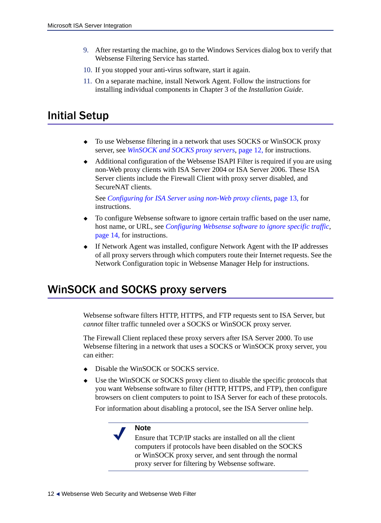- 9. After restarting the machine, go to the Windows Services dialog box to verify that Websense Filtering Service has started.
- 10. If you stopped your anti-virus software, start it again.
- 11. On a separate machine, install Network Agent. Follow the instructions for installing individual components in Chapter 3 of the *Installation Guide*.

# <span id="page-11-0"></span>Initial Setup

- To use Websense filtering in a network that uses SOCKS or WinSOCK proxy server, see *[WinSOCK and SOCKS proxy servers](#page-11-1)*, page 12, for instructions.
- Additional configuration of the Websense ISAPI Filter is required if you are using non-Web proxy clients with ISA Server 2004 or ISA Server 2006. These ISA Server clients include the Firewall Client with proxy server disabled, and SecureNAT clients.

See *[Configuring for ISA Server using non-Web proxy clients](#page-12-0)*, page 13, for instructions.

- To configure Websense software to ignore certain traffic based on the user name, host name, or URL, see *[Configuring Websense software to ignore specific traffic](#page-13-0)*, [page 14,](#page-13-0) for instructions.
- <span id="page-11-2"></span> If Network Agent was installed, configure Network Agent with the IP addresses of all proxy servers through which computers route their Internet requests. See the Network Configuration topic in Websense Manager Help for instructions.

## <span id="page-11-1"></span>WinSOCK and SOCKS proxy servers

Websense software filters HTTP, HTTPS, and FTP requests sent to ISA Server, but *cannot* filter traffic tunneled over a SOCKS or WinSOCK proxy server.

The Firewall Client replaced these proxy servers after ISA Server 2000. To use Websense filtering in a network that uses a SOCKS or WinSOCK proxy server, you can either:

- Disable the WinSOCK or SOCKS service.
- Use the WinSOCK or SOCKS proxy client to disable the specific protocols that you want Websense software to filter (HTTP, HTTPS, and FTP), then configure browsers on client computers to point to ISA Server for each of these protocols.

For information about disabling a protocol, see the ISA Server online help.

## **Note**

Ensure that TCP/IP stacks are installed on all the client computers if protocols have been disabled on the SOCKS or WinSOCK proxy server, and sent through the normal proxy server for filtering by Websense software.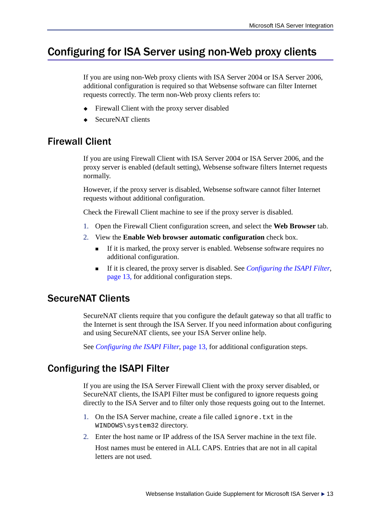# <span id="page-12-4"></span><span id="page-12-0"></span>Configuring for ISA Server using non-Web proxy clients

<span id="page-12-5"></span>If you are using non-Web proxy clients with ISA Server 2004 or ISA Server 2006, additional configuration is required so that Websense software can filter Internet requests correctly. The term non-Web proxy clients refers to:

- Firewall Client with the proxy server disabled
- SecureNAT clients

## <span id="page-12-1"></span>Firewall Client

If you are using Firewall Client with ISA Server 2004 or ISA Server 2006, and the proxy server is enabled (default setting), Websense software filters Internet requests normally.

However, if the proxy server is disabled, Websense software cannot filter Internet requests without additional configuration.

Check the Firewall Client machine to see if the proxy server is disabled.

- 1. Open the Firewall Client configuration screen, and select the **Web Browser** tab.
- 2. View the **Enable Web browser automatic configuration** check box.
	- If it is marked, the proxy server is enabled. Websense software requires no additional configuration.
	- If it is cleared, the proxy server is disabled. See *[Configuring the ISAPI Filter](#page-12-3)*, [page 13,](#page-12-3) for additional configuration steps.

## <span id="page-12-2"></span>SecureNAT Clients

SecureNAT clients require that you configure the default gateway so that all traffic to the Internet is sent through the ISA Server. If you need information about configuring and using SecureNAT clients, see your ISA Server online help.

See *[Configuring the ISAPI Filter](#page-12-3)*, page 13, for additional configuration steps.

## <span id="page-12-3"></span>Configuring the ISAPI Filter

If you are using the ISA Server Firewall Client with the proxy server disabled, or SecureNAT clients, the ISAPI Filter must be configured to ignore requests going directly to the ISA Server and to filter only those requests going out to the Internet.

- 1. On the ISA Server machine, create a file called ignore. txt in the WINDOWS\system32 directory.
- 2. Enter the host name or IP address of the ISA Server machine in the text file.

Host names must be entered in ALL CAPS. Entries that are not in all capital letters are not used.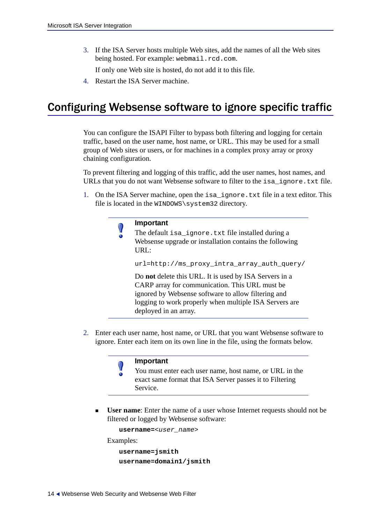3. If the ISA Server hosts multiple Web sites, add the names of all the Web sites being hosted. For example: webmail.rcd.com.

<span id="page-13-2"></span>If only one Web site is hosted, do not add it to this file.

4. Restart the ISA Server machine.

# <span id="page-13-0"></span>Configuring Websense software to ignore specific traffic

You can configure the ISAPI Filter to bypass both filtering and logging for certain traffic, based on the user name, host name, or URL. This may be used for a small group of Web sites or users, or for machines in a complex proxy array or proxy chaining configuration.

To prevent filtering and logging of this traffic, add the user names, host names, and URLs that you do not want Websense software to filter to the isa\_ignore.txt file.

1. On the ISA Server machine, open the isa\_ignore.txt file in a text editor. This file is located in the WINDOWS\system32 directory.

| Important |
|-----------|
| T1.0.1    |

<span id="page-13-3"></span>The default is a ignore.txt file installed during a Websense upgrade or installation contains the following URL:

url=http://ms\_proxy\_intra\_array\_auth\_query/

<span id="page-13-1"></span>Do **not** delete this URL. It is used by ISA Servers in a CARP array for communication. This URL must be ignored by Websense software to allow filtering and logging to work properly when multiple ISA Servers are deployed in an array.

2. Enter each user name, host name, or URL that you want Websense software to ignore. Enter each item on its own line in the file, using the formats below.

### **Important**

- You must enter each user name, host name, or URL in the exact same format that ISA Server passes it to Filtering Service.
- **User name**: Enter the name of a user whose Internet requests should not be filtered or logged by Websense software:

```
username=<user_name>
```
Examples:

```
username=jsmith
username=domain1/jsmith
```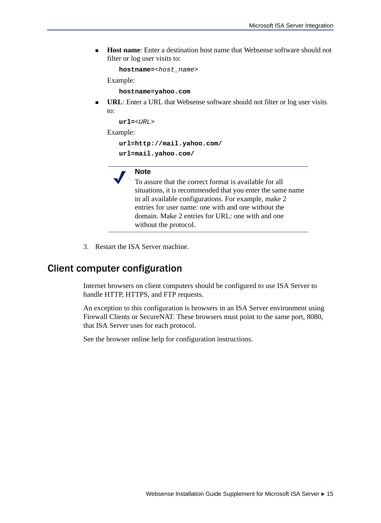**Host name**: Enter a destination host name that Websense software should not filter or log user visits to:

**hostname=**<*host\_name*>

Example:

**hostname=yahoo.com**

 **URL**: Enter a URL that Websense software should not filter or log user visits to:

**url=**<*URL*>

Example:

**url=http://mail.yahoo.com/**

**url=mail.yahoo.com/**

## **Note**

To assure that the correct format is available for all situations, it is recommended that you enter the same name in all available configurations. For example, make 2 entries for user name: one with and one without the domain. Make 2 entries for URL: one with and one without the protocol.

3. Restart the ISA Server machine.

## <span id="page-14-0"></span>Client computer configuration

Internet browsers on client computers should be configured to use ISA Server to handle HTTP, HTTPS, and FTP requests.

An exception to this configuration is browsers in an ISA Server environment using Firewall Clients or SecureNAT. These browsers must point to the same port, 8080, that ISA Server uses for each protocol.

<span id="page-14-2"></span><span id="page-14-1"></span>See the browser online help for configuration instructions.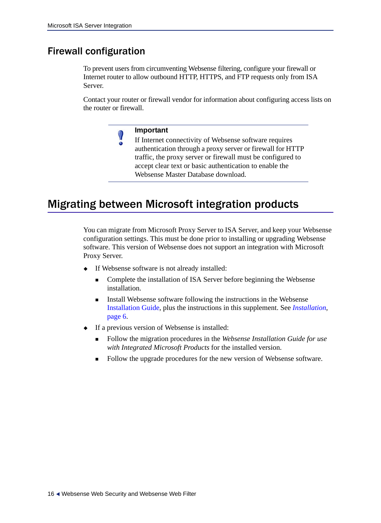## <span id="page-15-0"></span>Firewall configuration

To prevent users from circumventing Websense filtering, configure your firewall or Internet router to allow outbound HTTP, HTTPS, and FTP requests only from ISA Server.

Contact your router or firewall vendor for information about configuring access lists on the router or firewall.

## **Important**

 $\Omega$ 

<span id="page-15-3"></span><span id="page-15-2"></span>If Internet connectivity of Websense software requires authentication through a proxy server or firewall for HTTP traffic, the proxy server or firewall must be configured to accept clear text or basic authentication to enable the Websense Master Database download.

# <span id="page-15-1"></span>Migrating between Microsoft integration products

<span id="page-15-4"></span>You can migrate from Microsoft Proxy Server to ISA Server, and keep your Websense configuration settings. This must be done prior to installing or upgrading Websense software. This version of Websense does not support an integration with Microsoft Proxy Server.

- If Websense software is not already installed:
	- Complete the installation of ISA Server before beginning the Websense installation.
	- Install Websense software following the instructions in the Websense Installation Guide, plus the instructions in this supplement. See *[Installation](#page-5-2)*, [page 6.](#page-5-2)
- If a previous version of Websense is installed:
	- Follow the migration procedures in the *Websense Installation Guide for use with Integrated Microsoft Products* for the installed version.
	- Follow the upgrade procedures for the new version of Websense software.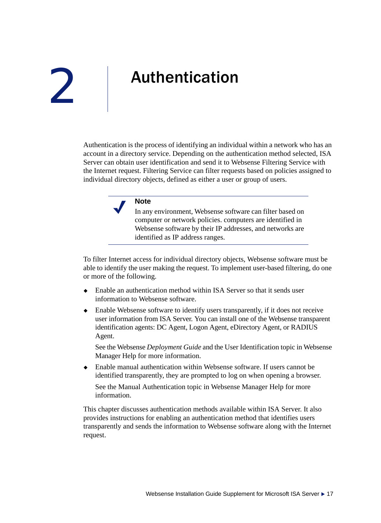# <span id="page-16-1"></span><span id="page-16-0"></span>Authentication

<span id="page-16-3"></span>Authentication is the process of identifying an individual within a network who has an account in a directory service. Depending on the authentication method selected, ISA Server can obtain user identification and send it to Websense Filtering Service with the Internet request. Filtering Service can filter requests based on policies assigned to individual directory objects, defined as either a user or group of users.

### **Note**

In any environment, Websense software can filter based on computer or network policies. computers are identified in Websense software by their IP addresses, and networks are identified as IP address ranges.

<span id="page-16-2"></span>To filter Internet access for individual directory objects, Websense software must be able to identify the user making the request. To implement user-based filtering, do one or more of the following.

- Enable an authentication method within ISA Server so that it sends user information to Websense software.
- Enable Websense software to identify users transparently, if it does not receive user information from ISA Server. You can install one of the Websense transparent identification agents: DC Agent, Logon Agent, eDirectory Agent, or RADIUS Agent.

See the Websense *Deployment Guide* and the User Identification topic in Websense Manager Help for more information.

 Enable manual authentication within Websense software. If users cannot be identified transparently, they are prompted to log on when opening a browser.

See the Manual Authentication topic in Websense Manager Help for more information.

This chapter discusses authentication methods available within ISA Server. It also provides instructions for enabling an authentication method that identifies users transparently and sends the information to Websense software along with the Internet request.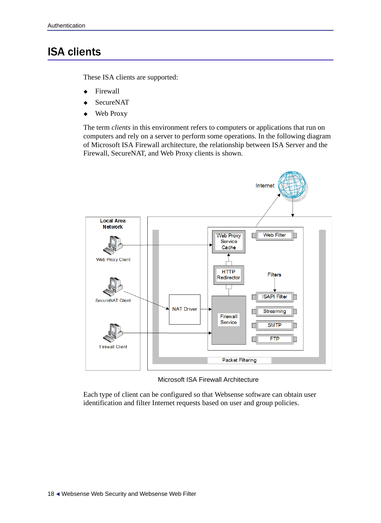# <span id="page-17-0"></span>ISA clients

These ISA clients are supported:

- Firewall
- SecureNAT
- Web Proxy

The term *clients* in this environment refers to computers or applications that run on computers and rely on a server to perform some operations. In the following diagram of Microsoft ISA Firewall architecture, the relationship between ISA Server and the Firewall, SecureNAT, and Web Proxy clients is shown.



<span id="page-17-1"></span>Microsoft ISA Firewall Architecture

Each type of client can be configured so that Websense software can obtain user identification and filter Internet requests based on user and group policies.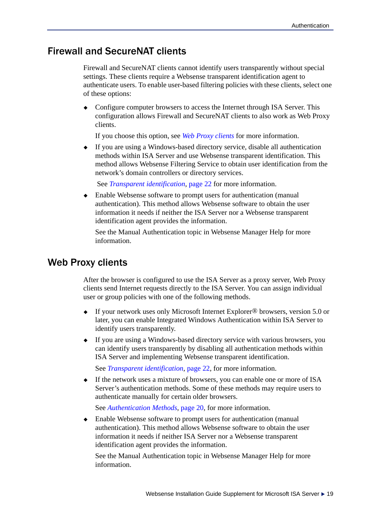## <span id="page-18-0"></span>Firewall and SecureNAT clients

<span id="page-18-2"></span>Firewall and SecureNAT clients cannot identify users transparently without special settings. These clients require a Websense transparent identification agent to authenticate users. To enable user-based filtering policies with these clients, select one of these options:

• Configure computer browsers to access the Internet through ISA Server. This configuration allows Firewall and SecureNAT clients to also work as Web Proxy clients.

If you choose this option, see *[Web Proxy clients](#page-18-1)* for more information.

 If you are using a Windows-based directory service, disable all authentication methods within ISA Server and use Websense transparent identification. This method allows Websense Filtering Service to obtain user identification from the network's domain controllers or directory services.

See *[Transparent identification](#page-21-1)*, page 22 for more information.

 Enable Websense software to prompt users for authentication (manual authentication). This method allows Websense software to obtain the user information it needs if neither the ISA Server nor a Websense transparent identification agent provides the information.

<span id="page-18-3"></span>See the Manual Authentication topic in Websense Manager Help for more information.

## <span id="page-18-1"></span>Web Proxy clients

After the browser is configured to use the ISA Server as a proxy server, Web Proxy clients send Internet requests directly to the ISA Server. You can assign individual user or group policies with one of the following methods.

- ◆ If your network uses only Microsoft Internet Explorer<sup>®</sup> browsers, version 5.0 or later, you can enable Integrated Windows Authentication within ISA Server to identify users transparently.
- If you are using a Windows-based directory service with various browsers, you can identify users transparently by disabling all authentication methods within ISA Server and implementing Websense transparent identification.

See *[Transparent identification](#page-21-1)*, page 22, for more information.

 If the network uses a mixture of browsers, you can enable one or more of ISA Server's authentication methods. Some of these methods may require users to authenticate manually for certain older browsers.

See *[Authentication Methods](#page-19-0)*, page 20, for more information.

 Enable Websense software to prompt users for authentication (manual authentication). This method allows Websense software to obtain the user information it needs if neither ISA Server nor a Websense transparent identification agent provides the information.

See the Manual Authentication topic in Websense Manager Help for more information.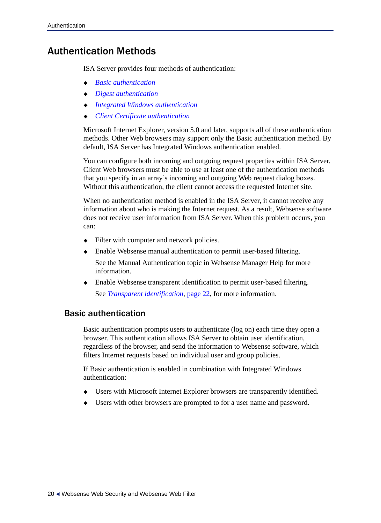## <span id="page-19-0"></span>Authentication Methods

ISA Server provides four methods of authentication:

- *[Basic authentication](#page-19-1)*
- *[Digest authentication](#page-20-0)*
- *[Integrated Windows authentication](#page-20-1)*
- *[Client Certificate authentication](#page-21-0)*

Microsoft Internet Explorer, version 5.0 and later, supports all of these authentication methods. Other Web browsers may support only the Basic authentication method. By default, ISA Server has Integrated Windows authentication enabled.

You can configure both incoming and outgoing request properties within ISA Server. Client Web browsers must be able to use at least one of the authentication methods that you specify in an array's incoming and outgoing Web request dialog boxes. Without this authentication, the client cannot access the requested Internet site.

When no authentication method is enabled in the ISA Server, it cannot receive any information about who is making the Internet request. As a result, Websense software does not receive user information from ISA Server. When this problem occurs, you can:

- Filter with computer and network policies.
- Enable Websense manual authentication to permit user-based filtering.

<span id="page-19-3"></span>See the Manual Authentication topic in Websense Manager Help for more information.

<span id="page-19-2"></span> Enable Websense transparent identification to permit user-based filtering. See *[Transparent identification](#page-21-1)*, page 22, for more information.

## <span id="page-19-1"></span>Basic authentication

Basic authentication prompts users to authenticate (log on) each time they open a browser. This authentication allows ISA Server to obtain user identification, regardless of the browser, and send the information to Websense software, which filters Internet requests based on individual user and group policies.

If Basic authentication is enabled in combination with Integrated Windows authentication:

- Users with Microsoft Internet Explorer browsers are transparently identified.
- Users with other browsers are prompted to for a user name and password.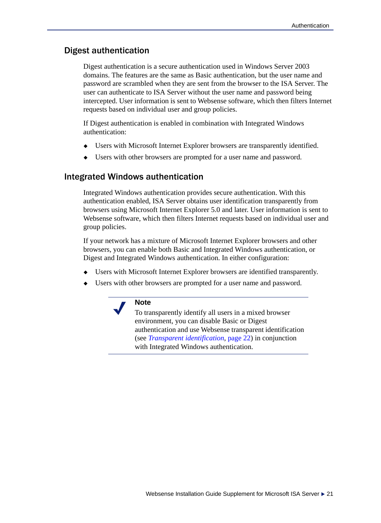## <span id="page-20-0"></span>Digest authentication

<span id="page-20-2"></span>Digest authentication is a secure authentication used in Windows Server 2003 domains. The features are the same as Basic authentication, but the user name and password are scrambled when they are sent from the browser to the ISA Server. The user can authenticate to ISA Server without the user name and password being intercepted. User information is sent to Websense software, which then filters Internet requests based on individual user and group policies.

If Digest authentication is enabled in combination with Integrated Windows authentication:

- Users with Microsoft Internet Explorer browsers are transparently identified.
- <span id="page-20-3"></span>Users with other browsers are prompted for a user name and password.

### <span id="page-20-1"></span>Integrated Windows authentication

Integrated Windows authentication provides secure authentication. With this authentication enabled, ISA Server obtains user identification transparently from browsers using Microsoft Internet Explorer 5.0 and later. User information is sent to Websense software, which then filters Internet requests based on individual user and group policies.

If your network has a mixture of Microsoft Internet Explorer browsers and other browsers, you can enable both Basic and Integrated Windows authentication, or Digest and Integrated Windows authentication. In either configuration:

- Users with Microsoft Internet Explorer browsers are identified transparently.
- Users with other browsers are prompted for a user name and password.

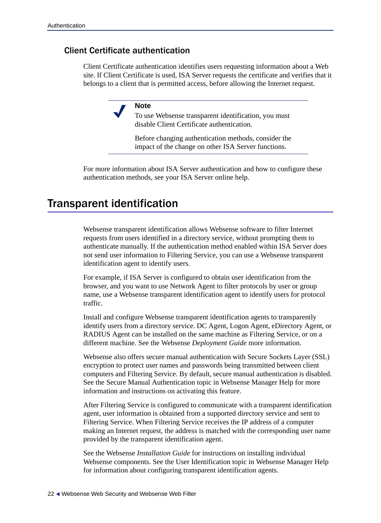## <span id="page-21-0"></span>Client Certificate authentication

Client Certificate authentication identifies users requesting information about a Web site. If Client Certificate is used, ISA Server requests the certificate and verifies that it belongs to a client that is permitted access, before allowing the Internet request.

#### <span id="page-21-2"></span>**Note**

To use Websense transparent identification, you must disable Client Certificate authentication.

<span id="page-21-3"></span>Before changing authentication methods, consider the impact of the change on other ISA Server functions.

For more information about ISA Server authentication and how to configure these authentication methods, see your ISA Server online help.

## <span id="page-21-1"></span>Transparent identification

Websense transparent identification allows Websense software to filter Internet requests from users identified in a directory service, without prompting them to authenticate manually. If the authentication method enabled within ISA Server does not send user information to Filtering Service, you can use a Websense transparent identification agent to identify users.

For example, if ISA Server is configured to obtain user identification from the browser, and you want to use Network Agent to filter protocols by user or group name, use a Websense transparent identification agent to identify users for protocol traffic.

Install and configure Websense transparent identification agents to transparently identify users from a directory service. DC Agent, Logon Agent, eDirectory Agent, or RADIUS Agent can be installed on the same machine as Filtering Service, or on a different machine. See the Websense *Deployment Guide* more information.

Websense also offers secure manual authentication with Secure Sockets Layer (SSL) encryption to protect user names and passwords being transmitted between client computers and Filtering Service. By default, secure manual authentication is disabled. See the Secure Manual Authentication topic in Websense Manager Help for more information and instructions on activating this feature.

After Filtering Service is configured to communicate with a transparent identification agent, user information is obtained from a supported directory service and sent to Filtering Service. When Filtering Service receives the IP address of a computer making an Internet request, the address is matched with the corresponding user name provided by the transparent identification agent.

See the Websense *Installation Guide* for instructions on installing individual Websense components. See the User Identification topic in Websense Manager Help for information about configuring transparent identification agents.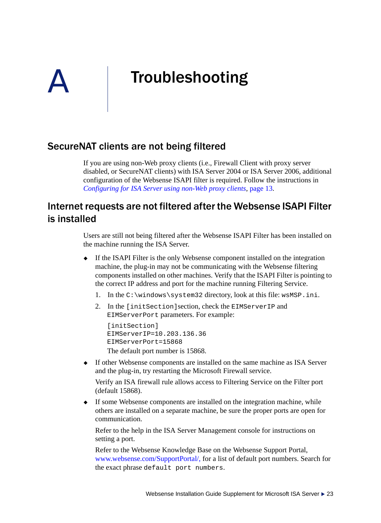# <span id="page-22-0"></span>Troubleshooting

## SecureNAT clients are not being filtered

If you are using non-Web proxy clients (i.e., Firewall Client with proxy server disabled, or SecureNAT clients) with ISA Server 2004 or ISA Server 2006, additional configuration of the Websense ISAPI filter is required. Follow the instructions in *[Configuring for ISA Server using non-Web proxy clients](#page-12-4)*, page 13.

## Internet requests are not filtered after the Websense ISAPI Filter is installed

Users are still not being filtered after the Websense ISAPI Filter has been installed on the machine running the ISA Server.

- If the ISAPI Filter is the only Websense component installed on the integration machine, the plug-in may not be communicating with the Websense filtering components installed on other machines. Verify that the ISAPI Filter is pointing to the correct IP address and port for the machine running Filtering Service.
	- 1. In the  $C:\wedge\swarrow\sw$  directory, look at this file: wsMSP.ini.
	- 2. In the [initSection]section, check the EIMServerIP and EIMServerPort parameters. For example:

```
[initSection]
EIMServerIP=10.203.136.36
EIMServerPort=15868
The default port number is 15868.
```
 If other Websense components are installed on the same machine as ISA Server and the plug-in, try restarting the Microsoft Firewall service.

Verify an ISA firewall rule allows access to Filtering Service on the Filter port (default 15868).

 If some Websense components are installed on the integration machine, while others are installed on a separate machine, be sure the proper ports are open for communication.

Refer to the help in the ISA Server Management console for instructions on setting a port.

Refer to the Websense Knowledge Base on the Websense Support Portal[,](http://www.websense.com/SupportPortal/) [www.websense.com/SupportPortal/,](http://www.websense.com/SupportPortal/) for a list of default port numbers. Search for the exact phrase default port numbers.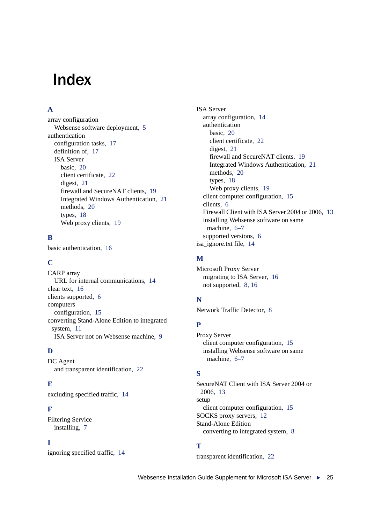# <span id="page-24-0"></span>Index

## **A**

array configuration Websense software deploymen[t, 5](#page-4-1) authentication configuration task[s, 17](#page-16-2) definition of[, 17](#page-16-3) ISA Server basi[c, 20](#page-19-2) client certificate[, 22](#page-21-2) digest[, 21](#page-20-2) firewall and SecureNAT clients[, 19](#page-18-2) Integrated Windows Authenticatio[n, 21](#page-20-3) methods[, 20](#page-19-3) types[, 18](#page-17-1) Web proxy client[s, 19](#page-18-3)

### **B**

basic authentication[, 16](#page-15-2)

## **C**

CARP array URL for internal communications[, 14](#page-13-1) clear text[, 16](#page-15-3) clients supporte[d, 6](#page-5-3) computers configuration[, 15](#page-14-1) converting Stand-Alone Edition to integrated system[, 11](#page-10-1) ISA Server not on Websense machine[, 9](#page-8-2)

## **D**

DC Agent and transparent identificatio[n, 22](#page-21-3)

## **E**

excluding specified traffic[, 14](#page-13-2)

### **F**

Filtering Service installin[g, 7](#page-6-0)

### **I**

ignoring specified traffi[c, 14](#page-13-2)

ISA Server array configuration[, 14](#page-13-1) authentication basi[c, 20](#page-19-2) client certificate[, 22](#page-21-2) digest[, 21](#page-20-2) firewall and SecureNAT clients[, 19](#page-18-2) Integrated Windows Authenticatio[n, 21](#page-20-3) methods[, 20](#page-19-3) types[, 18](#page-17-1) Web proxy client[s, 19](#page-18-3) client computer configuration[, 15](#page-14-2) client[s, 6](#page-5-3) Firewall Client with ISA Server 2004 or 2006[, 13](#page-12-5) installing Websense software on same machine[, 6–](#page-5-4)[7](#page-6-1) supported version[s, 6](#page-5-5) isa\_ignore.txt file[, 14](#page-13-3)

### **M**

Microsoft Proxy Server migrating to ISA Serve[r, 16](#page-15-4) not supported[, 8,](#page-7-4) [16](#page-15-4)

## **N**

Network Traffic Detector[, 8](#page-7-5)

## **P**

Proxy Server client computer configuration[, 15](#page-14-1) installing Websense software on same machine[, 6–](#page-5-6)[7](#page-6-1)

## **S**

SecureNAT Client with ISA Server 2004 or 2006[, 13](#page-12-5) setup client computer configuration[, 15](#page-14-1) SOCKS proxy servers[, 12](#page-11-2) Stand-Alone Edition converting to integrated system[, 8](#page-7-6)

## **T**

transparent identificatio[n, 22](#page-21-3)